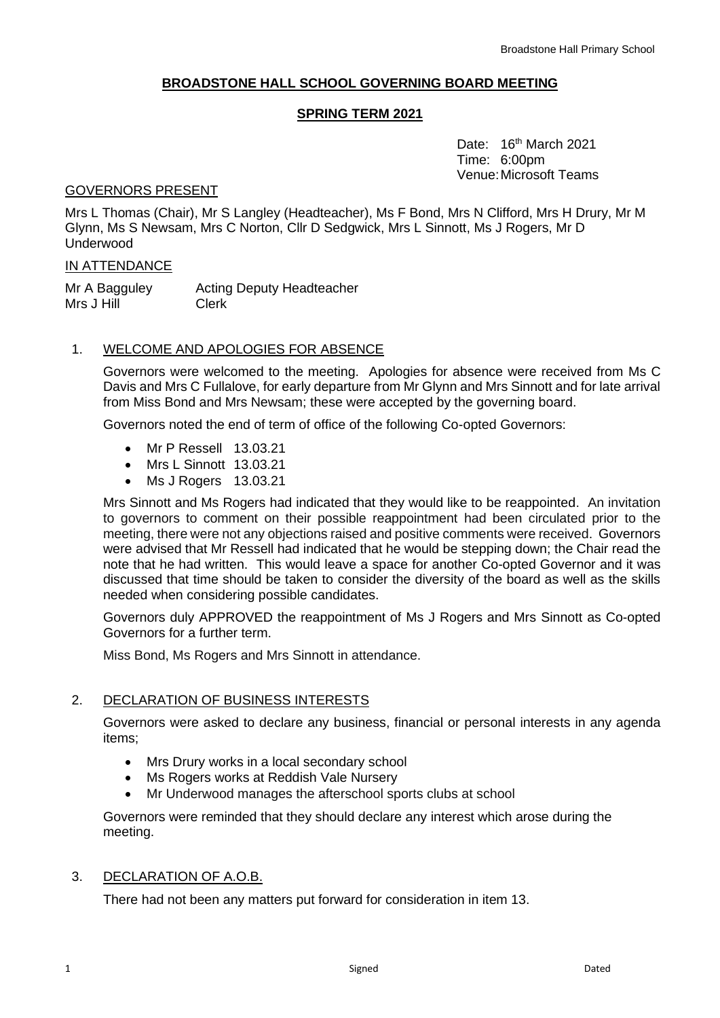# **BROADSTONE HALL SCHOOL GOVERNING BOARD MEETING**

## **SPRING TERM 2021**

Date: 16<sup>th</sup> March 2021 Time: 6:00pm Venue:Microsoft Teams

## GOVERNORS PRESENT

Mrs L Thomas (Chair), Mr S Langley (Headteacher), Ms F Bond, Mrs N Clifford, Mrs H Drury, Mr M Glynn, Ms S Newsam, Mrs C Norton, Cllr D Sedgwick, Mrs L Sinnott, Ms J Rogers, Mr D Underwood

#### IN ATTENDANCE

Mr A Bagguley Acting Deputy Headteacher Mrs J Hill Clerk

# 1. WELCOME AND APOLOGIES FOR ABSENCE

Governors were welcomed to the meeting. Apologies for absence were received from Ms C Davis and Mrs C Fullalove, for early departure from Mr Glynn and Mrs Sinnott and for late arrival from Miss Bond and Mrs Newsam; these were accepted by the governing board.

Governors noted the end of term of office of the following Co-opted Governors:

- Mr P Ressell 13.03.21
- Mrs L Sinnott 13.03.21
- Ms J Rogers 13.03.21

Mrs Sinnott and Ms Rogers had indicated that they would like to be reappointed. An invitation to governors to comment on their possible reappointment had been circulated prior to the meeting, there were not any objections raised and positive comments were received. Governors were advised that Mr Ressell had indicated that he would be stepping down; the Chair read the note that he had written. This would leave a space for another Co-opted Governor and it was discussed that time should be taken to consider the diversity of the board as well as the skills needed when considering possible candidates.

Governors duly APPROVED the reappointment of Ms J Rogers and Mrs Sinnott as Co-opted Governors for a further term.

Miss Bond, Ms Rogers and Mrs Sinnott in attendance.

## 2. DECLARATION OF BUSINESS INTERESTS

Governors were asked to declare any business, financial or personal interests in any agenda items;

- Mrs Drury works in a local secondary school
- Ms Rogers works at Reddish Vale Nursery
- Mr Underwood manages the afterschool sports clubs at school

Governors were reminded that they should declare any interest which arose during the meeting.

## 3. DECLARATION OF A.O.B.

There had not been any matters put forward for consideration in item 13.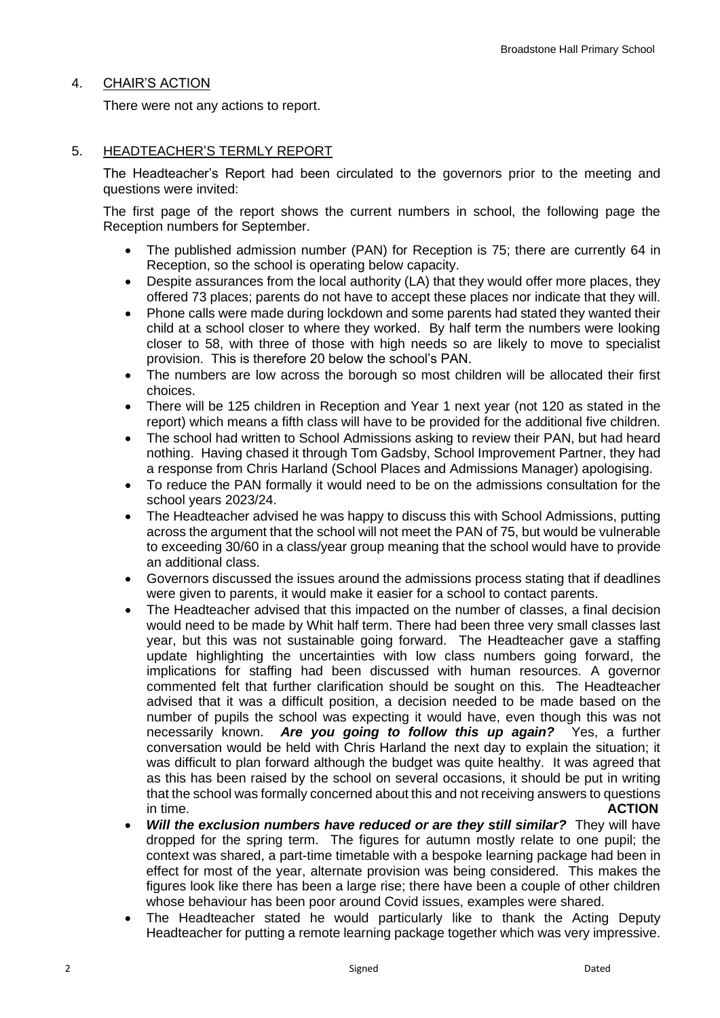## 4. CHAIR'S ACTION

There were not any actions to report.

# 5. HEADTEACHER'S TERMLY REPORT

The Headteacher's Report had been circulated to the governors prior to the meeting and questions were invited:

The first page of the report shows the current numbers in school, the following page the Reception numbers for September.

- The published admission number (PAN) for Reception is 75; there are currently 64 in Reception, so the school is operating below capacity.
- Despite assurances from the local authority (LA) that they would offer more places, they offered 73 places; parents do not have to accept these places nor indicate that they will.
- Phone calls were made during lockdown and some parents had stated they wanted their child at a school closer to where they worked. By half term the numbers were looking closer to 58, with three of those with high needs so are likely to move to specialist provision. This is therefore 20 below the school's PAN.
- The numbers are low across the borough so most children will be allocated their first choices.
- There will be 125 children in Reception and Year 1 next year (not 120 as stated in the report) which means a fifth class will have to be provided for the additional five children.
- The school had written to School Admissions asking to review their PAN, but had heard nothing. Having chased it through Tom Gadsby, School Improvement Partner, they had a response from Chris Harland (School Places and Admissions Manager) apologising.
- To reduce the PAN formally it would need to be on the admissions consultation for the school years 2023/24.
- The Headteacher advised he was happy to discuss this with School Admissions, putting across the argument that the school will not meet the PAN of 75, but would be vulnerable to exceeding 30/60 in a class/year group meaning that the school would have to provide an additional class.
- Governors discussed the issues around the admissions process stating that if deadlines were given to parents, it would make it easier for a school to contact parents.
- The Headteacher advised that this impacted on the number of classes, a final decision would need to be made by Whit half term. There had been three very small classes last year, but this was not sustainable going forward. The Headteacher gave a staffing update highlighting the uncertainties with low class numbers going forward, the implications for staffing had been discussed with human resources. A governor commented felt that further clarification should be sought on this. The Headteacher advised that it was a difficult position, a decision needed to be made based on the number of pupils the school was expecting it would have, even though this was not necessarily known. *Are you going to follow this up again?* Yes, a further conversation would be held with Chris Harland the next day to explain the situation; it was difficult to plan forward although the budget was quite healthy. It was agreed that as this has been raised by the school on several occasions, it should be put in writing that the school was formally concerned about this and not receiving answers to questions in time. **ACTION**
- *Will the exclusion numbers have reduced or are they still similar?* They will have dropped for the spring term. The figures for autumn mostly relate to one pupil; the context was shared, a part-time timetable with a bespoke learning package had been in effect for most of the year, alternate provision was being considered. This makes the figures look like there has been a large rise; there have been a couple of other children whose behaviour has been poor around Covid issues, examples were shared.
- The Headteacher stated he would particularly like to thank the Acting Deputy Headteacher for putting a remote learning package together which was very impressive.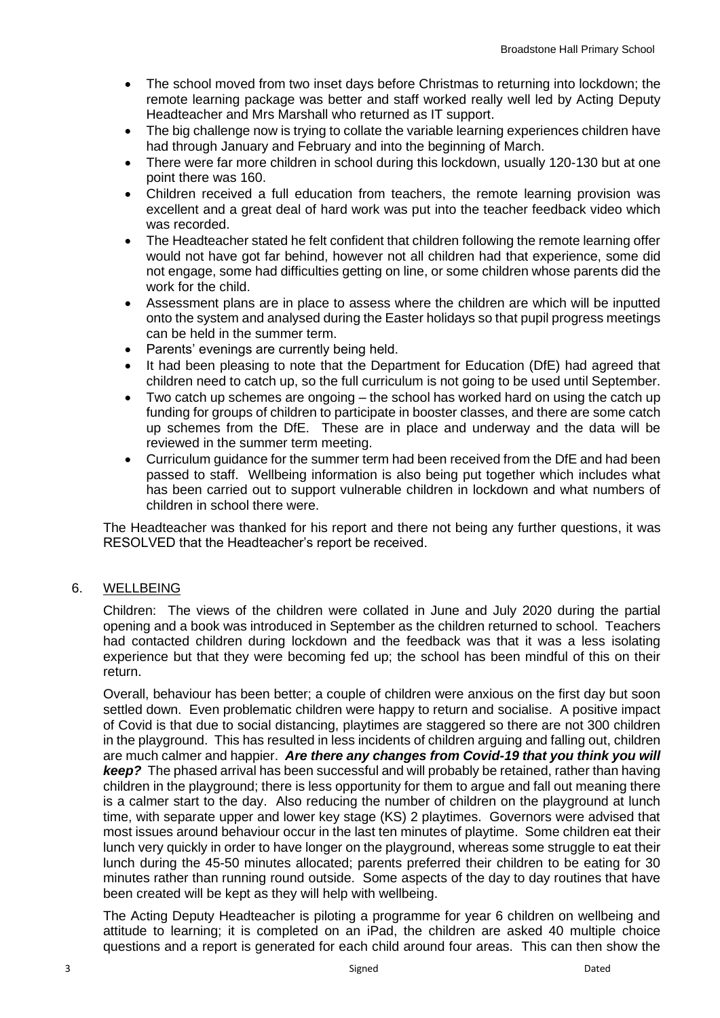- The school moved from two inset days before Christmas to returning into lockdown; the remote learning package was better and staff worked really well led by Acting Deputy Headteacher and Mrs Marshall who returned as IT support.
- The big challenge now is trying to collate the variable learning experiences children have had through January and February and into the beginning of March.
- There were far more children in school during this lockdown, usually 120-130 but at one point there was 160.
- Children received a full education from teachers, the remote learning provision was excellent and a great deal of hard work was put into the teacher feedback video which was recorded.
- The Headteacher stated he felt confident that children following the remote learning offer would not have got far behind, however not all children had that experience, some did not engage, some had difficulties getting on line, or some children whose parents did the work for the child.
- Assessment plans are in place to assess where the children are which will be inputted onto the system and analysed during the Easter holidays so that pupil progress meetings can be held in the summer term.
- Parents' evenings are currently being held.
- It had been pleasing to note that the Department for Education (DfE) had agreed that children need to catch up, so the full curriculum is not going to be used until September.
- Two catch up schemes are ongoing the school has worked hard on using the catch up funding for groups of children to participate in booster classes, and there are some catch up schemes from the DfE. These are in place and underway and the data will be reviewed in the summer term meeting.
- Curriculum guidance for the summer term had been received from the DfE and had been passed to staff. Wellbeing information is also being put together which includes what has been carried out to support vulnerable children in lockdown and what numbers of children in school there were.

The Headteacher was thanked for his report and there not being any further questions, it was RESOLVED that the Headteacher's report be received.

## 6. WELLBEING

Children: The views of the children were collated in June and July 2020 during the partial opening and a book was introduced in September as the children returned to school. Teachers had contacted children during lockdown and the feedback was that it was a less isolating experience but that they were becoming fed up; the school has been mindful of this on their return.

Overall, behaviour has been better; a couple of children were anxious on the first day but soon settled down. Even problematic children were happy to return and socialise. A positive impact of Covid is that due to social distancing, playtimes are staggered so there are not 300 children in the playground. This has resulted in less incidents of children arguing and falling out, children are much calmer and happier. *Are there any changes from Covid-19 that you think you will keep?* The phased arrival has been successful and will probably be retained, rather than having children in the playground; there is less opportunity for them to argue and fall out meaning there is a calmer start to the day. Also reducing the number of children on the playground at lunch time, with separate upper and lower key stage (KS) 2 playtimes. Governors were advised that most issues around behaviour occur in the last ten minutes of playtime. Some children eat their lunch very quickly in order to have longer on the playground, whereas some struggle to eat their lunch during the 45-50 minutes allocated; parents preferred their children to be eating for 30 minutes rather than running round outside. Some aspects of the day to day routines that have been created will be kept as they will help with wellbeing.

The Acting Deputy Headteacher is piloting a programme for year 6 children on wellbeing and attitude to learning; it is completed on an iPad, the children are asked 40 multiple choice questions and a report is generated for each child around four areas. This can then show the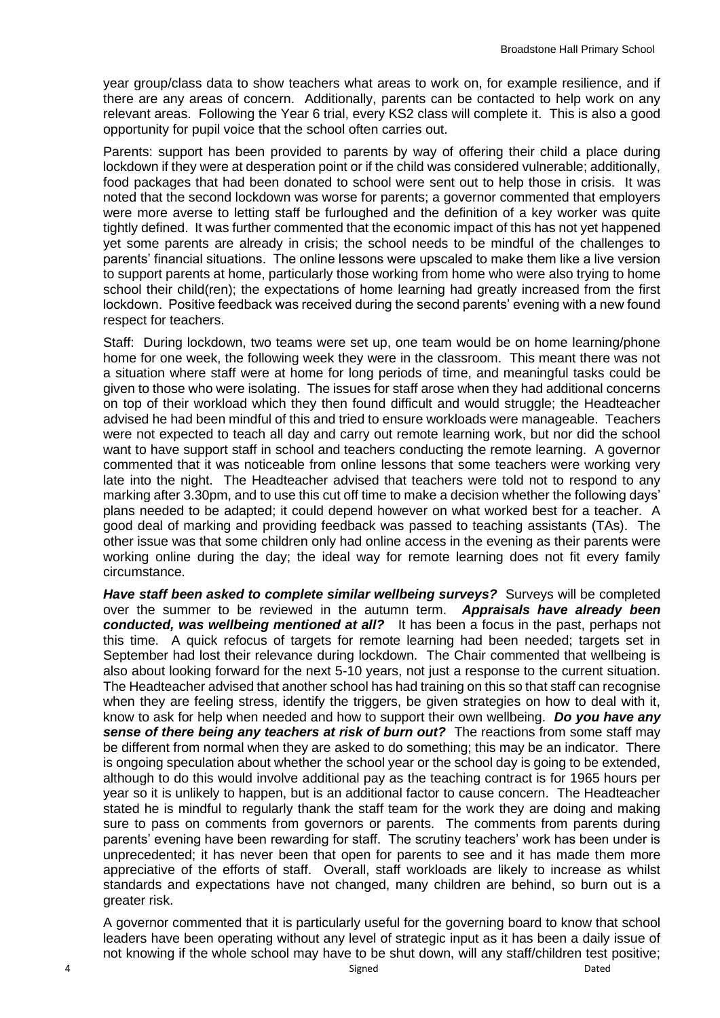year group/class data to show teachers what areas to work on, for example resilience, and if there are any areas of concern. Additionally, parents can be contacted to help work on any relevant areas. Following the Year 6 trial, every KS2 class will complete it. This is also a good opportunity for pupil voice that the school often carries out.

Parents: support has been provided to parents by way of offering their child a place during lockdown if they were at desperation point or if the child was considered vulnerable; additionally, food packages that had been donated to school were sent out to help those in crisis. It was noted that the second lockdown was worse for parents; a governor commented that employers were more averse to letting staff be furloughed and the definition of a key worker was quite tightly defined. It was further commented that the economic impact of this has not yet happened yet some parents are already in crisis; the school needs to be mindful of the challenges to parents' financial situations. The online lessons were upscaled to make them like a live version to support parents at home, particularly those working from home who were also trying to home school their child(ren); the expectations of home learning had greatly increased from the first lockdown. Positive feedback was received during the second parents' evening with a new found respect for teachers.

Staff: During lockdown, two teams were set up, one team would be on home learning/phone home for one week, the following week they were in the classroom. This meant there was not a situation where staff were at home for long periods of time, and meaningful tasks could be given to those who were isolating. The issues for staff arose when they had additional concerns on top of their workload which they then found difficult and would struggle; the Headteacher advised he had been mindful of this and tried to ensure workloads were manageable. Teachers were not expected to teach all day and carry out remote learning work, but nor did the school want to have support staff in school and teachers conducting the remote learning. A governor commented that it was noticeable from online lessons that some teachers were working very late into the night. The Headteacher advised that teachers were told not to respond to any marking after 3.30pm, and to use this cut off time to make a decision whether the following days' plans needed to be adapted; it could depend however on what worked best for a teacher. A good deal of marking and providing feedback was passed to teaching assistants (TAs). The other issue was that some children only had online access in the evening as their parents were working online during the day; the ideal way for remote learning does not fit every family circumstance.

*Have staff been asked to complete similar wellbeing surveys?* Surveys will be completed over the summer to be reviewed in the autumn term. *Appraisals have already been conducted, was wellbeing mentioned at all?* It has been a focus in the past, perhaps not this time. A quick refocus of targets for remote learning had been needed; targets set in September had lost their relevance during lockdown. The Chair commented that wellbeing is also about looking forward for the next 5-10 years, not just a response to the current situation. The Headteacher advised that another school has had training on this so that staff can recognise when they are feeling stress, identify the triggers, be given strategies on how to deal with it, know to ask for help when needed and how to support their own wellbeing. *Do you have any sense of there being any teachers at risk of burn out?* The reactions from some staff may be different from normal when they are asked to do something; this may be an indicator. There is ongoing speculation about whether the school year or the school day is going to be extended, although to do this would involve additional pay as the teaching contract is for 1965 hours per year so it is unlikely to happen, but is an additional factor to cause concern. The Headteacher stated he is mindful to regularly thank the staff team for the work they are doing and making sure to pass on comments from governors or parents. The comments from parents during parents' evening have been rewarding for staff. The scrutiny teachers' work has been under is unprecedented; it has never been that open for parents to see and it has made them more appreciative of the efforts of staff. Overall, staff workloads are likely to increase as whilst standards and expectations have not changed, many children are behind, so burn out is a greater risk.

A governor commented that it is particularly useful for the governing board to know that school leaders have been operating without any level of strategic input as it has been a daily issue of not knowing if the whole school may have to be shut down, will any staff/children test positive;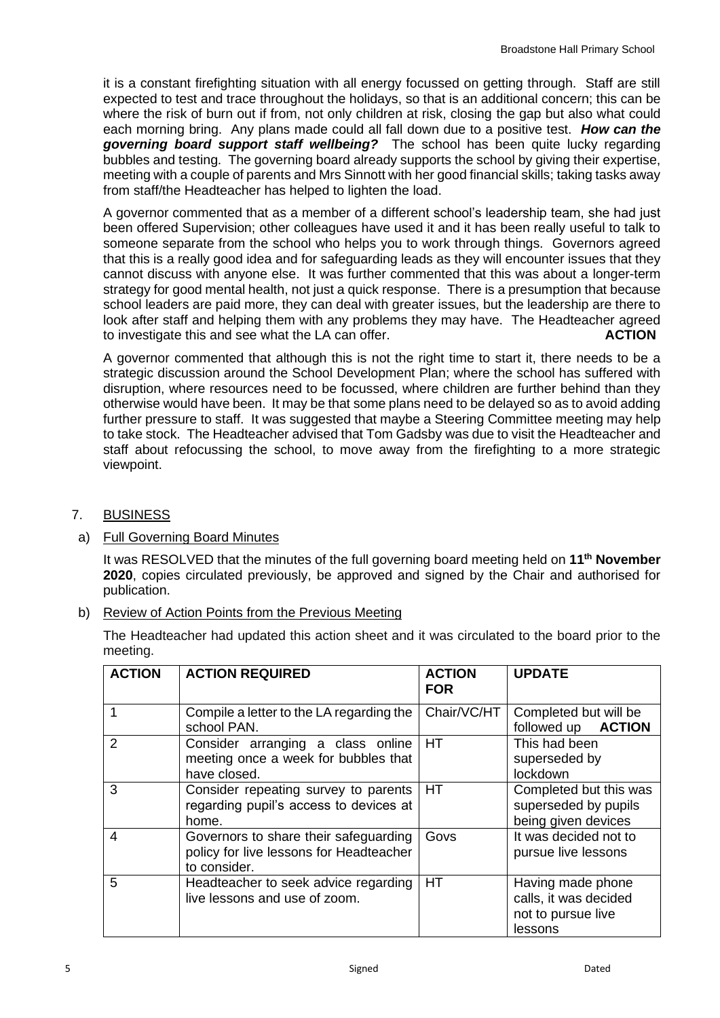it is a constant firefighting situation with all energy focussed on getting through. Staff are still expected to test and trace throughout the holidays, so that is an additional concern; this can be where the risk of burn out if from, not only children at risk, closing the gap but also what could each morning bring. Any plans made could all fall down due to a positive test. *How can the governing board support staff wellbeing?* The school has been quite lucky regarding bubbles and testing. The governing board already supports the school by giving their expertise, meeting with a couple of parents and Mrs Sinnott with her good financial skills; taking tasks away from staff/the Headteacher has helped to lighten the load.

A governor commented that as a member of a different school's leadership team, she had just been offered Supervision; other colleagues have used it and it has been really useful to talk to someone separate from the school who helps you to work through things. Governors agreed that this is a really good idea and for safeguarding leads as they will encounter issues that they cannot discuss with anyone else. It was further commented that this was about a longer-term strategy for good mental health, not just a quick response. There is a presumption that because school leaders are paid more, they can deal with greater issues, but the leadership are there to look after staff and helping them with any problems they may have. The Headteacher agreed to investigate this and see what the LA can offer. **ACTION** 

A governor commented that although this is not the right time to start it, there needs to be a strategic discussion around the School Development Plan; where the school has suffered with disruption, where resources need to be focussed, where children are further behind than they otherwise would have been. It may be that some plans need to be delayed so as to avoid adding further pressure to staff. It was suggested that maybe a Steering Committee meeting may help to take stock. The Headteacher advised that Tom Gadsby was due to visit the Headteacher and staff about refocussing the school, to move away from the firefighting to a more strategic viewpoint.

- 7. BUSINESS
- a) Full Governing Board Minutes

It was RESOLVED that the minutes of the full governing board meeting held on **11th November 2020**, copies circulated previously, be approved and signed by the Chair and authorised for publication.

b) Review of Action Points from the Previous Meeting

The Headteacher had updated this action sheet and it was circulated to the board prior to the meeting.

| <b>ACTION</b> | <b>ACTION REQUIRED</b>                                                                           | <b>ACTION</b><br><b>FOR</b> | <b>UPDATE</b>                                                               |
|---------------|--------------------------------------------------------------------------------------------------|-----------------------------|-----------------------------------------------------------------------------|
|               | Compile a letter to the LA regarding the<br>school PAN.                                          | Chair/VC/HT                 | Completed but will be<br>followed up <b>ACTION</b>                          |
| $\mathcal{P}$ | Consider arranging a class online<br>meeting once a week for bubbles that<br>have closed.        | <b>HT</b>                   | This had been<br>superseded by<br>lockdown                                  |
| 3             | Consider repeating survey to parents<br>regarding pupil's access to devices at<br>home.          | <b>HT</b>                   | Completed but this was<br>superseded by pupils<br>being given devices       |
| 4             | Governors to share their safeguarding<br>policy for live lessons for Headteacher<br>to consider. | Govs                        | It was decided not to<br>pursue live lessons                                |
| 5             | Headteacher to seek advice regarding<br>live lessons and use of zoom.                            | <b>HT</b>                   | Having made phone<br>calls, it was decided<br>not to pursue live<br>lessons |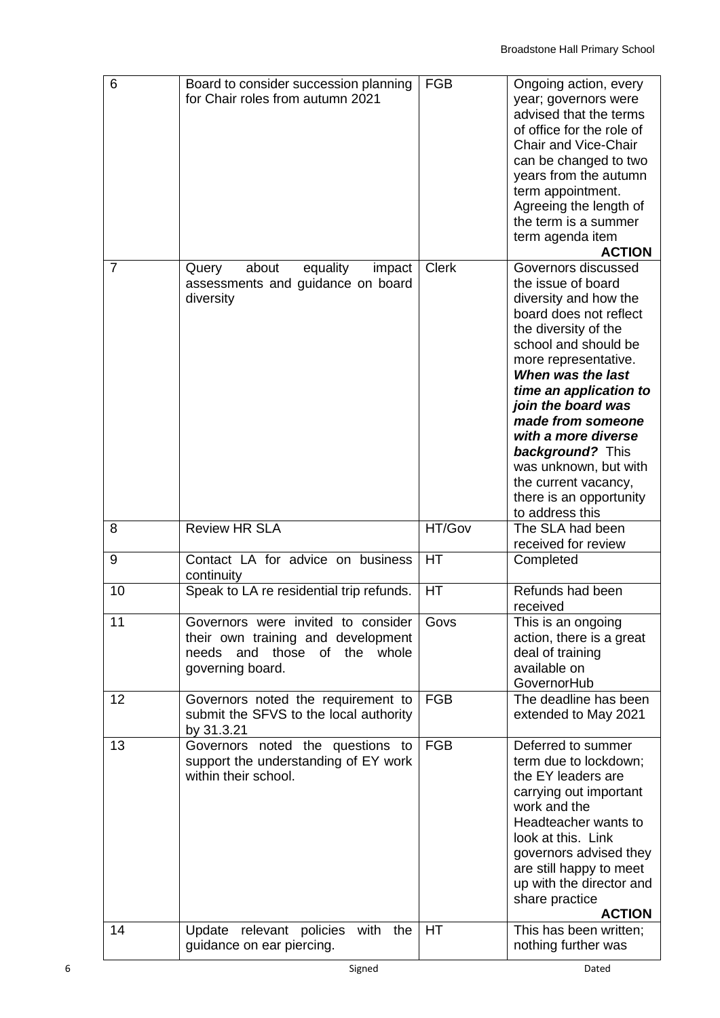| 6              | Board to consider succession planning<br>for Chair roles from autumn 2021                        | <b>FGB</b>   | Ongoing action, every<br>year; governors were<br>advised that the terms<br>of office for the role of<br><b>Chair and Vice-Chair</b><br>can be changed to two<br>years from the autumn<br>term appointment.<br>Agreeing the length of<br>the term is a summer<br>term agenda item<br><b>ACTION</b>                                                                                                               |
|----------------|--------------------------------------------------------------------------------------------------|--------------|-----------------------------------------------------------------------------------------------------------------------------------------------------------------------------------------------------------------------------------------------------------------------------------------------------------------------------------------------------------------------------------------------------------------|
| $\overline{7}$ | about<br>equality<br>Query<br>impact<br>assessments and guidance on board<br>diversity           | <b>Clerk</b> | Governors discussed<br>the issue of board<br>diversity and how the<br>board does not reflect<br>the diversity of the<br>school and should be<br>more representative.<br>When was the last<br>time an application to<br>join the board was<br>made from someone<br>with a more diverse<br><b>background?</b> This<br>was unknown, but with<br>the current vacancy,<br>there is an opportunity<br>to address this |
| 8              | <b>Review HR SLA</b>                                                                             | HT/Gov       | The SLA had been<br>received for review                                                                                                                                                                                                                                                                                                                                                                         |
| 9              | Contact LA for advice on business<br>continuity                                                  | HT           | Completed                                                                                                                                                                                                                                                                                                                                                                                                       |
| 10             | Speak to LA re residential trip refunds.                                                         | HT           | Refunds had been<br>received                                                                                                                                                                                                                                                                                                                                                                                    |
| 11             | Governors were invited to consider                                                               | Govs         | This is an ongoing                                                                                                                                                                                                                                                                                                                                                                                              |
|                | their own training and development<br>needs and those<br>of the whole<br>governing board.        |              | action, there is a great<br>deal of training<br>available on<br>GovernorHub                                                                                                                                                                                                                                                                                                                                     |
| 12             | Governors noted the requirement to<br>submit the SFVS to the local authority<br>by 31.3.21       | <b>FGB</b>   | The deadline has been<br>extended to May 2021                                                                                                                                                                                                                                                                                                                                                                   |
| 13             | Governors noted the questions to<br>support the understanding of EY work<br>within their school. | <b>FGB</b>   | Deferred to summer<br>term due to lockdown;<br>the EY leaders are<br>carrying out important<br>work and the<br>Headteacher wants to<br>look at this. Link<br>governors advised they<br>are still happy to meet<br>up with the director and<br>share practice<br><b>ACTION</b>                                                                                                                                   |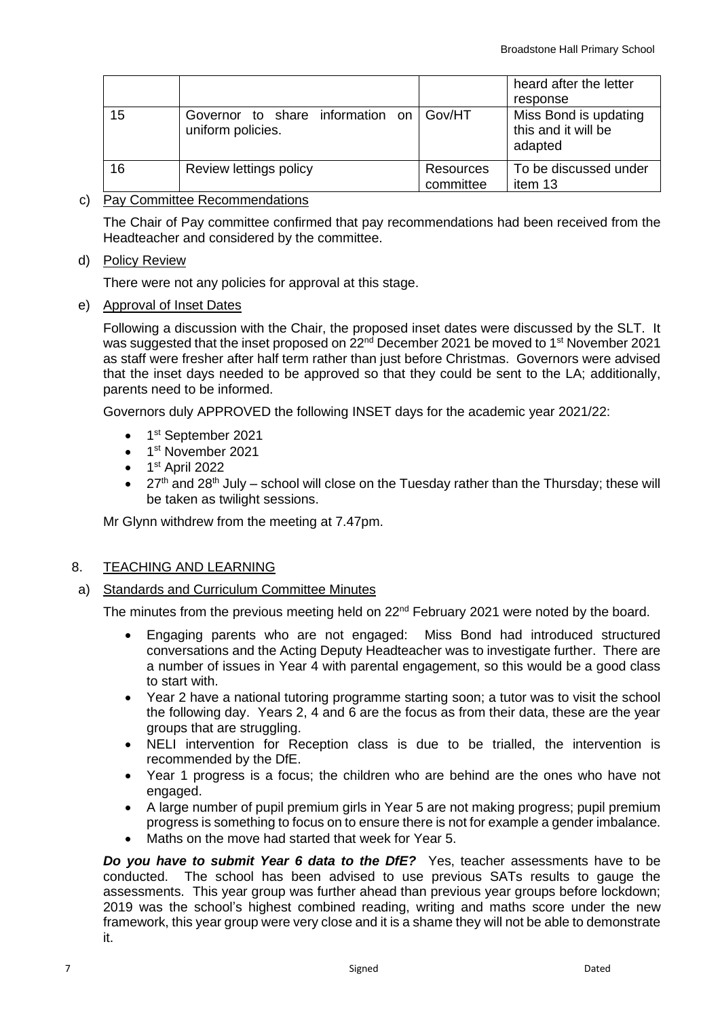|    |                                                       |                        | heard after the letter<br>response                      |
|----|-------------------------------------------------------|------------------------|---------------------------------------------------------|
| 15 | Governor to share information on<br>uniform policies. | Gov/HT                 | Miss Bond is updating<br>this and it will be<br>adapted |
| 16 | Review lettings policy                                | Resources<br>committee | To be discussed under<br>item 13                        |

## c) Pay Committee Recommendations

The Chair of Pay committee confirmed that pay recommendations had been received from the Headteacher and considered by the committee.

#### d) Policy Review

There were not any policies for approval at this stage.

e) Approval of Inset Dates

Following a discussion with the Chair, the proposed inset dates were discussed by the SLT. It was suggested that the inset proposed on 22<sup>nd</sup> December 2021 be moved to 1<sup>st</sup> November 2021 as staff were fresher after half term rather than just before Christmas. Governors were advised that the inset days needed to be approved so that they could be sent to the LA; additionally, parents need to be informed.

Governors duly APPROVED the following INSET days for the academic year 2021/22:

- 1<sup>st</sup> September 2021
- 1<sup>st</sup> November 2021
- $\bullet$  1<sup>st</sup> April 2022
- $27<sup>th</sup>$  and  $28<sup>th</sup>$  July school will close on the Tuesday rather than the Thursday; these will be taken as twilight sessions.

Mr Glynn withdrew from the meeting at 7.47pm.

## 8. TEACHING AND LEARNING

a) Standards and Curriculum Committee Minutes

The minutes from the previous meeting held on 22<sup>nd</sup> February 2021 were noted by the board.

- Engaging parents who are not engaged: Miss Bond had introduced structured conversations and the Acting Deputy Headteacher was to investigate further. There are a number of issues in Year 4 with parental engagement, so this would be a good class to start with.
- Year 2 have a national tutoring programme starting soon; a tutor was to visit the school the following day. Years 2, 4 and 6 are the focus as from their data, these are the year groups that are struggling.
- NELI intervention for Reception class is due to be trialled, the intervention is recommended by the DfE.
- Year 1 progress is a focus; the children who are behind are the ones who have not engaged.
- A large number of pupil premium girls in Year 5 are not making progress; pupil premium progress is something to focus on to ensure there is not for example a gender imbalance.
- Maths on the move had started that week for Year 5.

**Do you have to submit Year 6 data to the DfE?** Yes, teacher assessments have to be conducted. The school has been advised to use previous SATs results to gauge the assessments. This year group was further ahead than previous year groups before lockdown; 2019 was the school's highest combined reading, writing and maths score under the new framework, this year group were very close and it is a shame they will not be able to demonstrate it.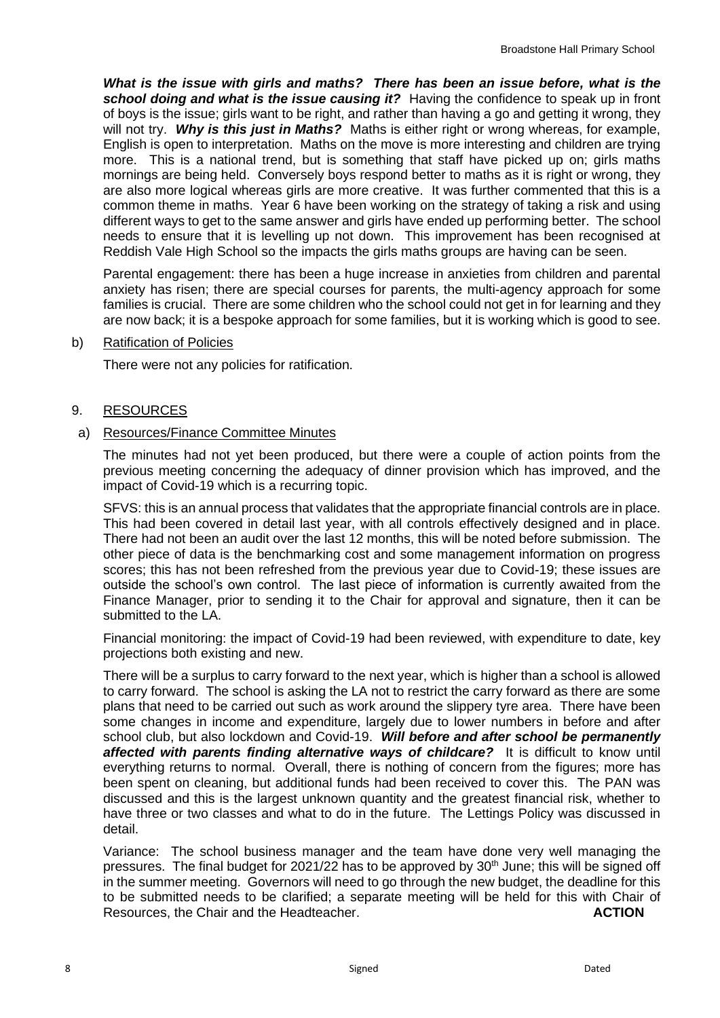*What is the issue with girls and maths? There has been an issue before, what is the*  **school doing and what is the issue causing it?** Having the confidence to speak up in front of boys is the issue; girls want to be right, and rather than having a go and getting it wrong, they will not try. *Why is this just in Maths?* Maths is either right or wrong whereas, for example, English is open to interpretation. Maths on the move is more interesting and children are trying more. This is a national trend, but is something that staff have picked up on; girls maths mornings are being held. Conversely boys respond better to maths as it is right or wrong, they are also more logical whereas girls are more creative. It was further commented that this is a common theme in maths. Year 6 have been working on the strategy of taking a risk and using different ways to get to the same answer and girls have ended up performing better. The school needs to ensure that it is levelling up not down. This improvement has been recognised at Reddish Vale High School so the impacts the girls maths groups are having can be seen.

Parental engagement: there has been a huge increase in anxieties from children and parental anxiety has risen; there are special courses for parents, the multi-agency approach for some families is crucial. There are some children who the school could not get in for learning and they are now back; it is a bespoke approach for some families, but it is working which is good to see.

#### b) Ratification of Policies

There were not any policies for ratification.

#### 9. RESOURCES

#### a) Resources/Finance Committee Minutes

The minutes had not yet been produced, but there were a couple of action points from the previous meeting concerning the adequacy of dinner provision which has improved, and the impact of Covid-19 which is a recurring topic.

SFVS: this is an annual process that validates that the appropriate financial controls are in place. This had been covered in detail last year, with all controls effectively designed and in place. There had not been an audit over the last 12 months, this will be noted before submission. The other piece of data is the benchmarking cost and some management information on progress scores; this has not been refreshed from the previous year due to Covid-19; these issues are outside the school's own control. The last piece of information is currently awaited from the Finance Manager, prior to sending it to the Chair for approval and signature, then it can be submitted to the LA.

Financial monitoring: the impact of Covid-19 had been reviewed, with expenditure to date, key projections both existing and new.

There will be a surplus to carry forward to the next year, which is higher than a school is allowed to carry forward. The school is asking the LA not to restrict the carry forward as there are some plans that need to be carried out such as work around the slippery tyre area. There have been some changes in income and expenditure, largely due to lower numbers in before and after school club, but also lockdown and Covid-19. *Will before and after school be permanently affected with parents finding alternative ways of childcare?* It is difficult to know until everything returns to normal. Overall, there is nothing of concern from the figures; more has been spent on cleaning, but additional funds had been received to cover this. The PAN was discussed and this is the largest unknown quantity and the greatest financial risk, whether to have three or two classes and what to do in the future. The Lettings Policy was discussed in detail.

Variance: The school business manager and the team have done very well managing the pressures. The final budget for 2021/22 has to be approved by  $30<sup>th</sup>$  June; this will be signed off in the summer meeting. Governors will need to go through the new budget, the deadline for this to be submitted needs to be clarified; a separate meeting will be held for this with Chair of Resources, the Chair and the Headteacher. **ACTION**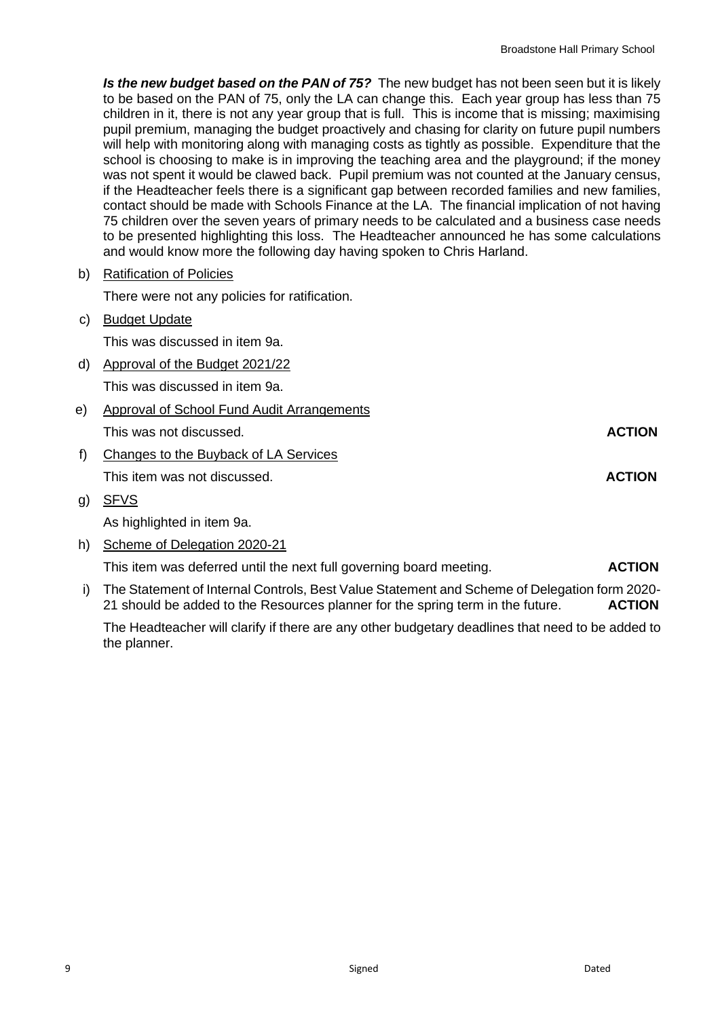**Is the new budget based on the PAN of 75?** The new budget has not been seen but it is likely to be based on the PAN of 75, only the LA can change this. Each year group has less than 75 children in it, there is not any year group that is full. This is income that is missing; maximising pupil premium, managing the budget proactively and chasing for clarity on future pupil numbers will help with monitoring along with managing costs as tightly as possible. Expenditure that the school is choosing to make is in improving the teaching area and the playground; if the money was not spent it would be clawed back. Pupil premium was not counted at the January census, if the Headteacher feels there is a significant gap between recorded families and new families, contact should be made with Schools Finance at the LA. The financial implication of not having 75 children over the seven years of primary needs to be calculated and a business case needs to be presented highlighting this loss. The Headteacher announced he has some calculations and would know more the following day having spoken to Chris Harland.

b) Ratification of Policies

There were not any policies for ratification.

c) Budget Update

This was discussed in item 9a.

d) Approval of the Budget 2021/22

This was discussed in item 9a.

- e) Approval of School Fund Audit Arrangements This was not discussed. **ACTION**
- f) Changes to the Buyback of LA Services This item was not discussed. **ACTION**
- g) SFVS

As highlighted in item 9a.

h) Scheme of Delegation 2020-21

This item was deferred until the next full governing board meeting. **ACTION**

i) The Statement of Internal Controls, Best Value Statement and Scheme of Delegation form 2020- 21 should be added to the Resources planner for the spring term in the future. **ACTION**

The Headteacher will clarify if there are any other budgetary deadlines that need to be added to the planner.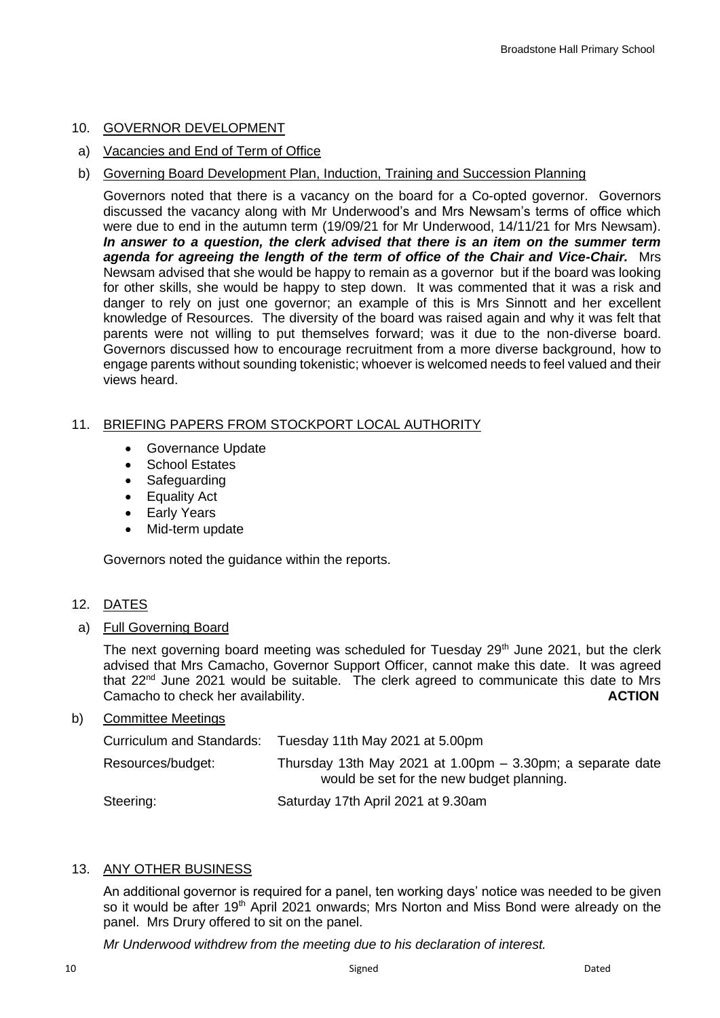## 10. GOVERNOR DEVELOPMENT

- a) Vacancies and End of Term of Office
- b) Governing Board Development Plan, Induction, Training and Succession Planning

Governors noted that there is a vacancy on the board for a Co-opted governor. Governors discussed the vacancy along with Mr Underwood's and Mrs Newsam's terms of office which were due to end in the autumn term (19/09/21 for Mr Underwood, 14/11/21 for Mrs Newsam). *In answer to a question, the clerk advised that there is an item on the summer term agenda for agreeing the length of the term of office of the Chair and Vice-Chair.* Mrs Newsam advised that she would be happy to remain as a governor but if the board was looking for other skills, she would be happy to step down. It was commented that it was a risk and danger to rely on just one governor; an example of this is Mrs Sinnott and her excellent knowledge of Resources. The diversity of the board was raised again and why it was felt that parents were not willing to put themselves forward; was it due to the non-diverse board. Governors discussed how to encourage recruitment from a more diverse background, how to engage parents without sounding tokenistic; whoever is welcomed needs to feel valued and their views heard.

# 11. BRIEFING PAPERS FROM STOCKPORT LOCAL AUTHORITY

- Governance Update
- School Estates
- Safeguarding
- Equality Act
- Early Years
- Mid-term update

Governors noted the guidance within the reports.

## 12. DATES

a) Full Governing Board

The next governing board meeting was scheduled for Tuesday 29<sup>th</sup> June 2021, but the clerk advised that Mrs Camacho, Governor Support Officer, cannot make this date. It was agreed that 22<sup>nd</sup> June 2021 would be suitable. The clerk agreed to communicate this date to Mrs Camacho to check her availability. **ACTION**

## b) Committee Meetings

| Curriculum and Standards: | Tuesday 11th May 2021 at 5.00pm                                                                           |
|---------------------------|-----------------------------------------------------------------------------------------------------------|
| Resources/budget:         | Thursday 13th May 2021 at 1.00pm $-$ 3.30pm; a separate date<br>would be set for the new budget planning. |
| Steering:                 | Saturday 17th April 2021 at 9.30am                                                                        |

## 13. ANY OTHER BUSINESS

An additional governor is required for a panel, ten working days' notice was needed to be given so it would be after 19<sup>th</sup> April 2021 onwards; Mrs Norton and Miss Bond were already on the panel. Mrs Drury offered to sit on the panel.

*Mr Underwood withdrew from the meeting due to his declaration of interest.*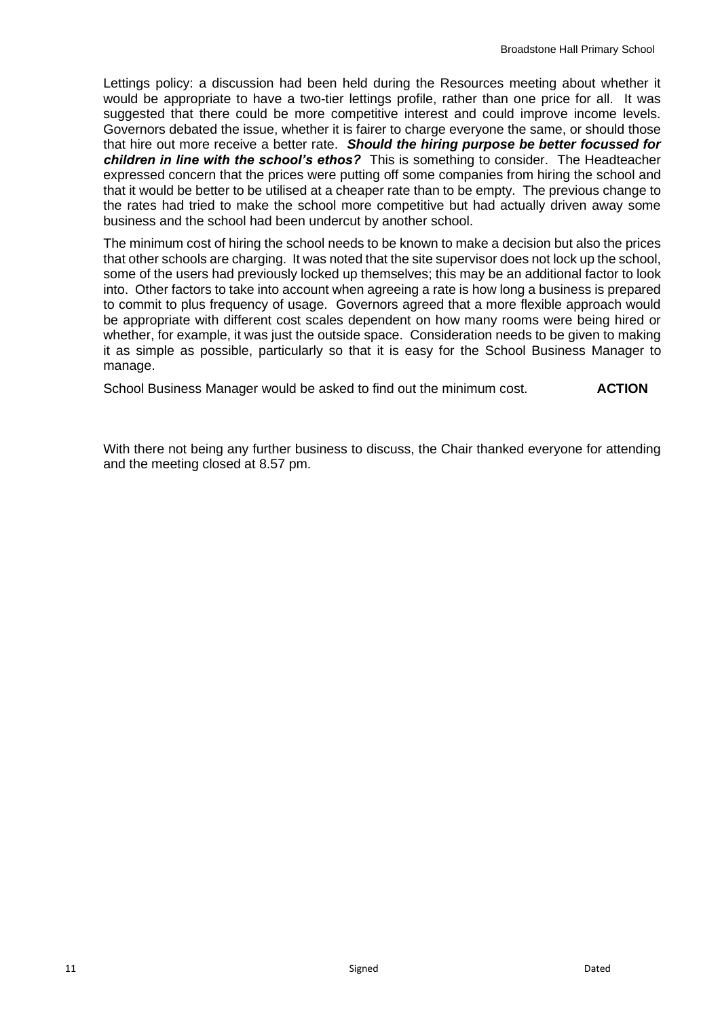Lettings policy: a discussion had been held during the Resources meeting about whether it would be appropriate to have a two-tier lettings profile, rather than one price for all. It was suggested that there could be more competitive interest and could improve income levels. Governors debated the issue, whether it is fairer to charge everyone the same, or should those that hire out more receive a better rate. *Should the hiring purpose be better focussed for children in line with the school's ethos?* This is something to consider. The Headteacher expressed concern that the prices were putting off some companies from hiring the school and that it would be better to be utilised at a cheaper rate than to be empty. The previous change to the rates had tried to make the school more competitive but had actually driven away some business and the school had been undercut by another school.

The minimum cost of hiring the school needs to be known to make a decision but also the prices that other schools are charging. It was noted that the site supervisor does not lock up the school, some of the users had previously locked up themselves; this may be an additional factor to look into. Other factors to take into account when agreeing a rate is how long a business is prepared to commit to plus frequency of usage. Governors agreed that a more flexible approach would be appropriate with different cost scales dependent on how many rooms were being hired or whether, for example, it was just the outside space. Consideration needs to be given to making it as simple as possible, particularly so that it is easy for the School Business Manager to manage.

School Business Manager would be asked to find out the minimum cost. **ACTION**

With there not being any further business to discuss, the Chair thanked everyone for attending and the meeting closed at 8.57 pm.